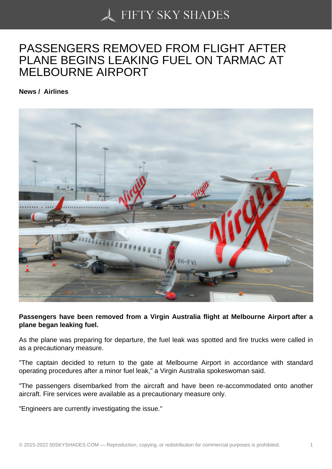## [PASSENGERS REMO](https://50skyshades.com)VED FROM FLIGHT AFTER PLANE BEGINS LEAKING FUEL ON TARMAC AT MELBOURNE AIRPORT

News / Airlines

Passengers have been removed from a Virgin Australia flight at Melbourne Airport after a plane began leaking fuel.

As the plane was preparing for departure, the fuel leak was spotted and fire trucks were called in as a precautionary measure.

"The captain decided to return to the gate at Melbourne Airport in accordance with standard operating procedures after a minor fuel leak," a Virgin Australia spokeswoman said.

"The passengers disembarked from the aircraft and have been re-accommodated onto another aircraft. Fire services were available as a precautionary measure only.

"Engineers are currently investigating the issue."